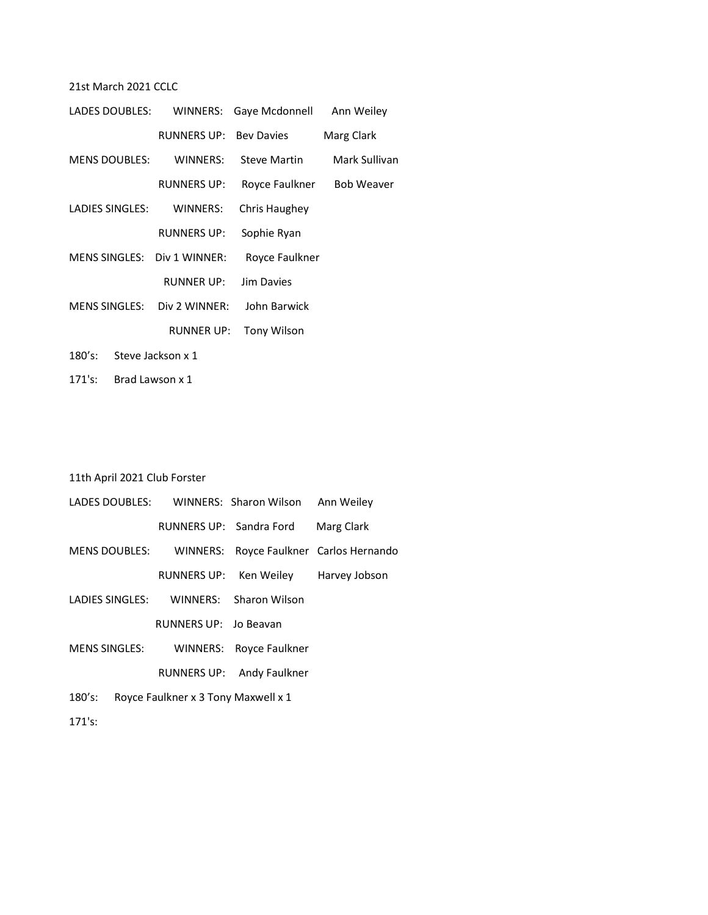# 21st March 2021 CCLC

| LADES DOUBLES:              |                               | WINNERS: Gaye Mcdonnell | Ann Weiley        |
|-----------------------------|-------------------------------|-------------------------|-------------------|
|                             | <b>RUNNERS UP: Bey Davies</b> |                         | Marg Clark        |
| <b>MENS DOUBLES:</b>        | WINNERS:                      | <b>Steve Martin</b>     | Mark Sullivan     |
|                             | <b>RUNNERS UP:</b>            | Royce Faulkner          | <b>Bob Weaver</b> |
| LADIES SINGLES:             | WINNERS:                      | Chris Haughey           |                   |
|                             | <b>RUNNERS UP:</b>            | Sophie Ryan             |                   |
| MENS SINGLES: Div 1 WINNER: |                               | Royce Faulkner          |                   |
|                             | <b>RUNNER UP:</b>             | Jim Davies              |                   |
| MENS SINGLES:               | Div 2 WINNER:                 | John Barwick            |                   |
|                             | RUNNER UP:                    | <b>Tony Wilson</b>      |                   |
|                             |                               |                         |                   |

- 180's: Steve Jackson x 1
- 171's: Brad Lawson x 1

# 11th April 2021 Club Forster

|                      |                       | LADES DOUBLES: WINNERS: Sharon Wilson Ann Weiley |                                         |
|----------------------|-----------------------|--------------------------------------------------|-----------------------------------------|
|                      |                       | RUNNERS UP: Sandra Ford                          | Marg Clark                              |
| <b>MENS DOUBLES:</b> |                       |                                                  | WINNERS: Royce Faulkner Carlos Hernando |
|                      |                       | RUNNERS UP: Ken Weiley                           | Harvey Jobson                           |
| LADIES SINGLES:      |                       | WINNERS: Sharon Wilson                           |                                         |
|                      | RUNNERS UP: Jo Beavan |                                                  |                                         |
| MENS SINGLES:        |                       | WINNERS: Royce Faulkner                          |                                         |
|                      |                       |                                                  |                                         |

- RUNNERS UP: Andy Faulkner
- 180's: Royce Faulkner x 3 Tony Maxwell x 1

171's: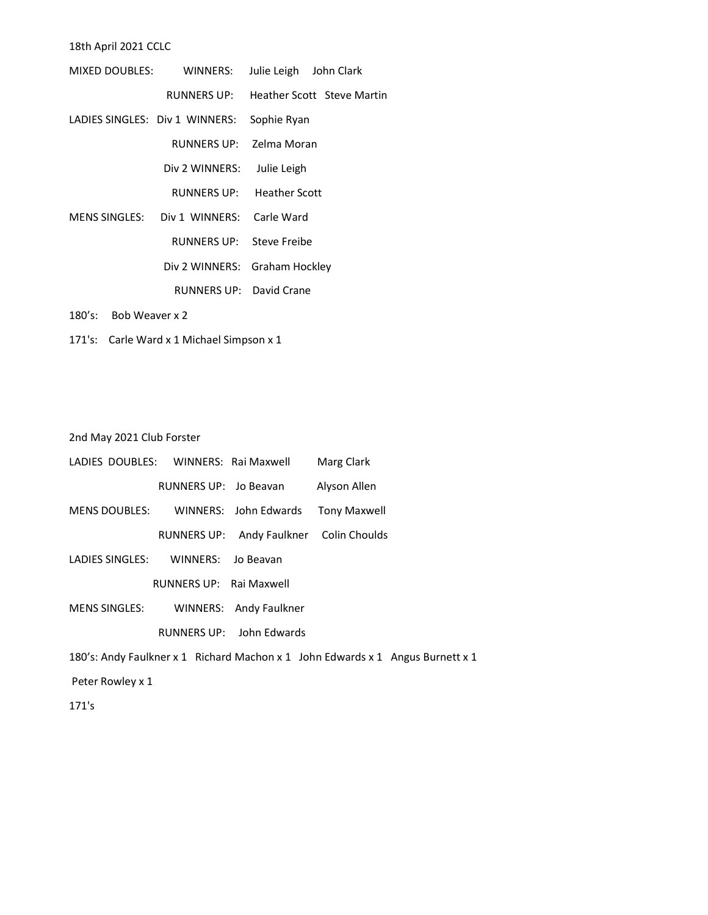18th April 2021 CCLC

|                                | MIXED DOUBLES: WINNERS: | Julie Leigh John Clark            |  |
|--------------------------------|-------------------------|-----------------------------------|--|
|                                | RUNNERS UP:             | <b>Heather Scott Steve Martin</b> |  |
| LADIES SINGLES: Div 1 WINNERS: |                         | Sophie Ryan                       |  |
|                                | RUNNERS UP:             | Zelma Moran                       |  |
|                                | Div 2 WINNERS:          | Julie Leigh                       |  |
|                                | RUNNERS UP:             | <b>Heather Scott</b>              |  |
| MENS SINGLES:                  | Div 1 WINNERS:          | Carle Ward                        |  |
|                                | <b>RUNNERS UP:</b>      | Steve Freibe                      |  |
|                                | Div 2 WINNERS:          | Graham Hockley                    |  |
|                                | RUNNERS UP: David Crane |                                   |  |
| Bob Weaver x 2<br>180's:       |                         |                                   |  |

171's: Carle Ward x 1 Michael Simpson x 1

2nd May 2021 Club Forster

| LADIES DOUBLES: WINNERS: Rai Maxwell             |                         |                        | Marg Clark                              |                                                                                |
|--------------------------------------------------|-------------------------|------------------------|-----------------------------------------|--------------------------------------------------------------------------------|
|                                                  | RUNNERS UP: Jo Beavan   |                        | Alyson Allen                            |                                                                                |
| MENS DOUBLES: WINNERS: John Edwards Tony Maxwell |                         |                        |                                         |                                                                                |
|                                                  |                         |                        | RUNNERS UP: Andy Faulkner Colin Choulds |                                                                                |
| LADIES SINGLES: WINNERS: Jo Beavan               |                         |                        |                                         |                                                                                |
|                                                  | RUNNERS UP: Rai Maxwell |                        |                                         |                                                                                |
| MENS SINGLES:                                    |                         | WINNERS: Andy Faulkner |                                         |                                                                                |
| RUNNERS UP: John Edwards                         |                         |                        |                                         |                                                                                |
|                                                  |                         |                        |                                         | 180's: Andy Faulkner x 1 Richard Machon x 1 John Edwards x 1 Angus Burnett x 1 |

Peter Rowley x 1

171's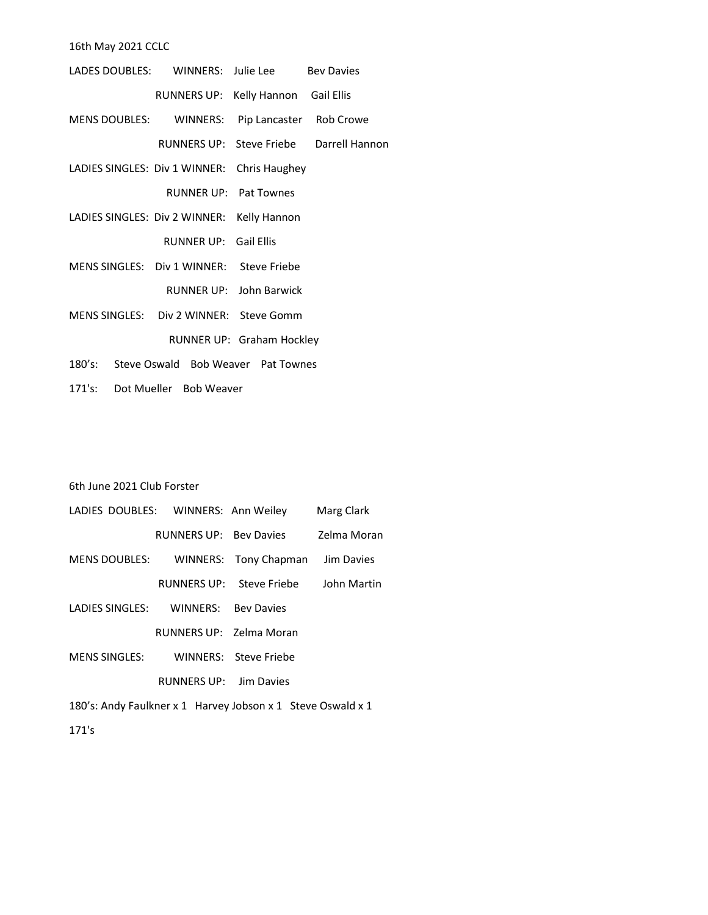16th May 2021 CCLC

| LADES DOUBLES: WINNERS: Julie Lee Bey Davies   |                                     |                           |                                         |
|------------------------------------------------|-------------------------------------|---------------------------|-----------------------------------------|
|                                                | RUNNERS UP: Kelly Hannon Gail Ellis |                           |                                         |
| MENS DOUBLES: WINNERS: Pip Lancaster Rob Crowe |                                     |                           |                                         |
|                                                |                                     |                           | RUNNERS UP: Steve Friebe Darrell Hannon |
| LADIES SINGLES: Div 1 WINNER: Chris Haughey    |                                     |                           |                                         |
|                                                |                                     | RUNNER UP: Pat Townes     |                                         |
| LADIES SINGLES: Div 2 WINNER: Kelly Hannon     |                                     |                           |                                         |
|                                                | RUNNER UP: Gail Ellis               |                           |                                         |
| MENS SINGLES: Div 1 WINNER: Steve Friebe       |                                     |                           |                                         |
|                                                |                                     | RUNNER UP: John Barwick   |                                         |
| MENS SINGLES: Div 2 WINNER: Steve Gomm         |                                     |                           |                                         |
|                                                |                                     | RUNNER UP: Graham Hockley |                                         |
| 180's: Steve Oswald Bob Weaver Pat Townes      |                                     |                           |                                         |

171's: Dot Mueller Bob Weaver

## 6th June 2021 Club Forster

| LADIES DOUBLES: WINNERS: Ann Weiley                         |                        |                          | Marg Clark  |
|-------------------------------------------------------------|------------------------|--------------------------|-------------|
|                                                             | RUNNERS UP: Bey Davies |                          | Zelma Moran |
| MENS DOUBLES: WINNERS: Tony Chapman                         |                        |                          | Jim Davies  |
|                                                             |                        | RUNNERS UP: Steve Friebe | John Martin |
| LADIES SINGLES: WINNERS: Bey Davies                         |                        |                          |             |
|                                                             |                        | RUNNERS UP: Zelma Moran  |             |
| MENS SINGLES:                                               |                        | WINNERS: Steve Friebe    |             |
|                                                             | RUNNERS UP: Jim Davies |                          |             |
| 180's: Andy Faulkner x 1 Harvey Jobson x 1 Steve Oswald x 1 |                        |                          |             |

171's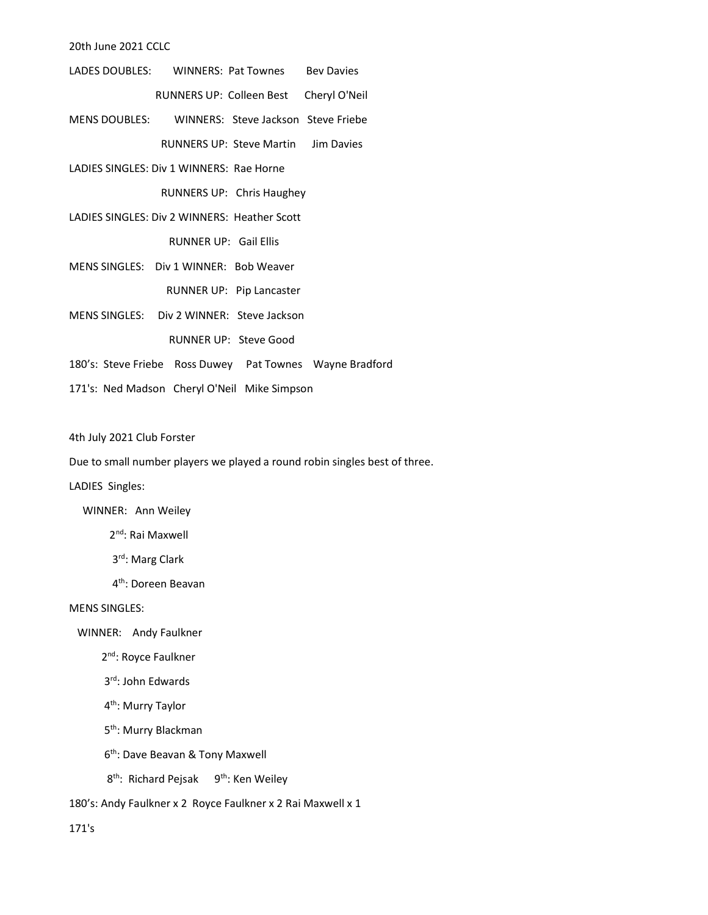20th June 2021 CCLC

- LADES DOUBLES: WINNERS: Pat Townes Bev Davies RUNNERS UP: Colleen Best Cheryl O'Neil
- MENS DOUBLES: WINNERS: Steve Jackson Steve Friebe RUNNERS UP: Steve Martin Jim Davies
- LADIES SINGLES: Div 1 WINNERS: Rae Horne RUNNERS UP: Chris Haughey
- LADIES SINGLES: Div 2 WINNERS: Heather Scott

RUNNER UP: Gail Ellis

- MENS SINGLES: Div 1 WINNER: Bob Weaver RUNNER UP: Pip Lancaster
- MENS SINGLES: Div 2 WINNER: Steve Jackson

RUNNER UP: Steve Good

- 180's: Steve Friebe Ross Duwey Pat Townes Wayne Bradford
- 171's: Ned Madson Cheryl O'Neil Mike Simpson

4th July 2021 Club Forster

Due to small number players we played a round robin singles best of three.

#### LADIES Singles:

WINNER: Ann Weiley

2nd: Rai Maxwell

- 3rd: Marg Clark
- 4th: Doreen Beavan

#### MENS SINGLES:

WINNER: Andy Faulkner

2<sup>nd</sup>: Royce Faulkner

3rd: John Edwards

4th: Murry Taylor

- 5<sup>th</sup>: Murry Blackman
- 6th: Dave Beavan & Tony Maxwell
- 8<sup>th</sup>: Richard Pejsak 9<sup>th</sup>: Ken Weiley

180's: Andy Faulkner x 2 Royce Faulkner x 2 Rai Maxwell x 1